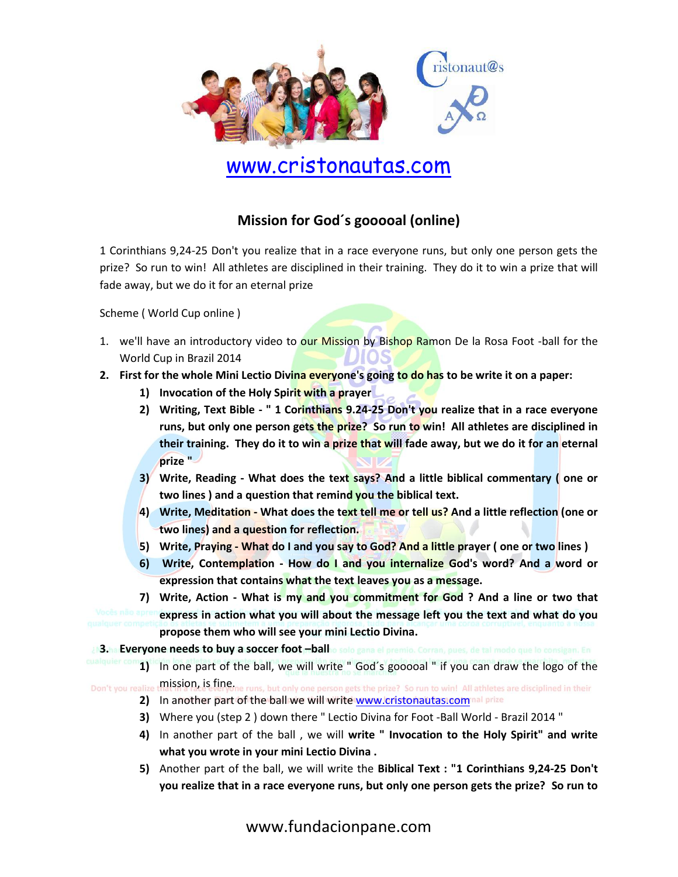

# www.cristonautas.com

#### **Mission for God´s gooooal (online)**

1 Corinthians 9,24-25 Don't you realize that in a race everyone runs, but only one person gets the prize? So run to win! All athletes are disciplined in their training. They do it to win a prize that will fade away, but we do it for an eternal prize

Scheme ( World Cup online )

- 1. we'll have an introductory video to our Mission by Bishop Ramon De la Rosa Foot -ball for the World Cup in Brazil 2014
- **2. First for the whole Mini Lectio Divina everyone's going to do has to be write it on a paper:**
	- **1) Invocation of the Holy Spirit with a prayer**
	- **2) Writing, Text Bible - " 1 Corinthians 9.24-25 Don't you realize that in a race everyone runs, but only one person gets the prize? So run to win! All athletes are disciplined in their training. They do it to win a prize that will fade away, but we do it for an eternal prize "**
	- **3) Write, Reading - What does the text says? And a little biblical commentary ( one or two lines ) and a question that remind you the biblical text.**
	- **4) Write, Meditation - What does the text tell me or tell us? And a little reflection (one or two lines) and a question for reflection.**
	- **5) Write, Praying - What do I and you say to God? And a little prayer ( one or two lines )**
	- **6) Write, Contemplation - How do I and you internalize God's word? And a word or expression that contains what the text leaves you as a message.**

**7) Write, Action - What is my and you commitment for God ? And a line or two that express in action what you will about the message left you the text and what do you propose them who will see your mini Lectio Divina.**

**3. Everyone needs to buy a soccer foot –ball**

**1)** In one part of the ball, we will write " God´s gooooal " if you can draw the logo of the Don't you realize mission, is fine. uns, but only one person gets the prize? So run to win! All athletes are disciplined in their

- 2) In another part of the ball we will writ[e www.cristonautas.com](http://www.cristonautas.com/) nal prize
- **3)** Where you (step 2 ) down there " Lectio Divina for Foot -Ball World Brazil 2014 "
- **4)** In another part of the ball , we will **write " Invocation to the Holy Spirit" and write what you wrote in your mini Lectio Divina .**
- **5)** Another part of the ball, we will write the **Biblical Text : "1 Corinthians 9,24-25 Don't you realize that in a race everyone runs, but only one person gets the prize? So run to**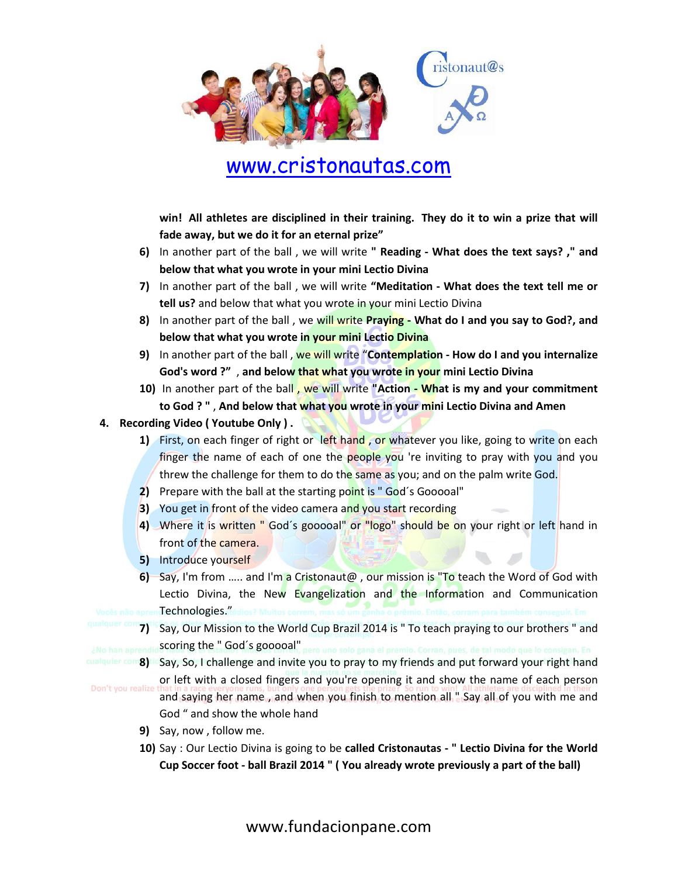

## www.cristonautas.com

**win! All athletes are disciplined in their training. They do it to win a prize that will fade away, but we do it for an eternal prize"**

- **6)** In another part of the ball , we will write **" Reading - What does the text says? ," and below that what you wrote in your mini Lectio Divina**
- **7)** In another part of the ball , we will write **"Meditation - What does the text tell me or tell us?** and below that what you wrote in your mini Lectio Divina
- **8)** In another part of the ball , we will write **Praying - What do I and you say to God?, and below that what you wrote in your mini Lectio Divina**
- **9)** In another part of the ball , we will write "**Contemplation - How do I and you internalize God's word ?"** , **and below that what you wrote in your mini Lectio Divina**
- **10)** In another part of the ball , we will write **"Action - What is my and your commitment to God ? "** , **And below that what you wrote in your mini Lectio Divina and Amen**

#### **4. Recording Video ( Youtube Only ) .**

- **1)** First, on each finger of right or left hand, or whatever you like, going to write on each finger the name of each of one the people you 're inviting to pray with you and you threw the challenge for them to do the same as you; and on the palm write God.
- **2)** Prepare with the ball at the starting point is "God's Gooooal"
- **3)** You get in front of the video camera and you start recording
- **4)** Where it is written " God´s gooooal" or "logo" should be on your right or left hand in front of the camera.
- **5)** Introduce yourself
- **6)** Say, I'm from ….. and I'm a Cristonaut@ , our mission is "To teach the Word of God with Lectio Divina, the New Evangelization and the Information and Communication **Technologies."** adios? Muitos correm, mas
- **7)** Say, Our Mission to the World Cup Brazil 2014 is " To teach praying to our brothers " and
- scoring the " God's gooooal", pero uno solo gana el premio. Corran, pues, de tal modo que lo consigan. En **8)** Say, So, I challenge and invite you to pray to my friends and put forward your right hand
- or left with a closed fingers and you're opening it and show the name of each person Don't you realize and saying her name , and when you finish to mention all " Say all of you with me and God " and show the whole hand
	- **9)** Say, now , follow me.
	- **10)** Say : Our Lectio Divina is going to be **called Cristonautas - " Lectio Divina for the World Cup Soccer foot - ball Brazil 2014 " ( You already wrote previously a part of the ball)**